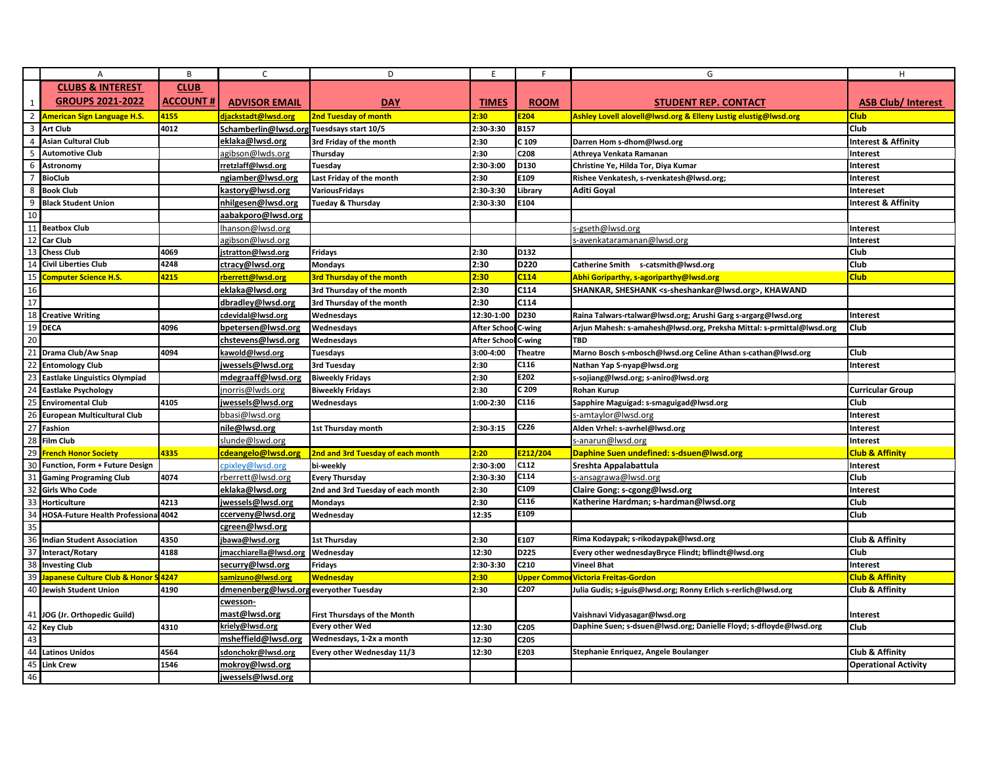|                         | Α                                          | B               | $\mathsf{C}$                                   | D                                   | E                   | F                                | G                                                                          | H                              |
|-------------------------|--------------------------------------------|-----------------|------------------------------------------------|-------------------------------------|---------------------|----------------------------------|----------------------------------------------------------------------------|--------------------------------|
|                         | <b>CLUBS &amp; INTEREST</b>                | <b>CLUB</b>     |                                                |                                     |                     |                                  |                                                                            |                                |
| $\mathbf{1}$            | <b>GROUPS 2021-2022</b>                    | <b>ACCOUNT#</b> | <b>ADVISOR EMAIL</b>                           | <b>DAY</b>                          | <b>TIMES</b>        | <b>ROOM</b>                      | <b>STUDENT REP. CONTACT</b>                                                | <b>ASB Club/ Interest</b>      |
|                         | 2 American Sign Language H.S.              | 4155            | djackstadt@lwsd.org                            | 2nd Tuesday of month                | 2:30                | E <sub>204</sub>                 | Ashley Lovell alovell@lwsd.org & Elleny Lustig elustig@lwsd.org            | <b>Club</b>                    |
| $\overline{\mathbf{3}}$ | <b>Art Club</b>                            | 4012            | Schamberlin@lwsd.orgTuesdsays start 10/5       |                                     | 2:30-3:30           | <b>B157</b>                      |                                                                            | Club                           |
| $\overline{4}$          | <b>Asian Cultural Club</b>                 |                 | eklaka@lwsd.org                                | 3rd Friday of the month             | 2:30                | C 109                            | Darren Hom s-dhom@lwsd.org                                                 | <b>Interest &amp; Affinity</b> |
| 5                       | <b>Automotive Club</b>                     |                 | agibson@lwds.org                               | Thursday                            | 2:30                | C208                             | Athreya Venkata Ramanan                                                    | Interest                       |
| 6                       | Astronomy                                  |                 | rretzlaff@lwsd.org                             | Tuesday                             | 2:30-3:00           | D130                             | Christine Ye, Hilda Tor, Diya Kumar                                        | Interest                       |
| $\overline{7}$          | <b>BioClub</b>                             |                 | ngiamber@lwsd.org                              | Last Friday of the month            | 2:30                | E109                             | Rishee Venkatesh, s-rvenkatesh@lwsd.org;                                   | Interest                       |
| 8                       | <b>Book Club</b>                           |                 | kastory@lwsd.org                               | <b>VariousFridays</b>               | 2:30-3:30           | Library                          | Aditi Goyal                                                                | <b>Intereset</b>               |
| 9                       | <b>Black Student Union</b>                 |                 | nhilgesen@lwsd.org                             | <b>Tueday &amp; Thursday</b>        | 2:30-3:30           | E104                             |                                                                            | <b>Interest &amp; Affinity</b> |
| 10                      |                                            |                 | aabakporo@lwsd.org                             |                                     |                     |                                  |                                                                            |                                |
| 11                      | <b>Beatbox Club</b>                        |                 | hanson@lwsd.org                                |                                     |                     |                                  | s-gseth@lwsd.org                                                           | Interest                       |
| 12                      | <b>Car Club</b>                            |                 | agibson@lwsd.org                               |                                     |                     |                                  | avenkataramanan@lwsd.org-                                                  | Interest                       |
|                         | 13 Chess Club                              | 4069            | stratton@lwsd.org                              | Fridays                             | 2:30                | D132                             |                                                                            | Club                           |
| 14                      | <b>Civil Liberties Club</b>                | 4248            | ctracy@lwsd.org                                | <b>Mondays</b>                      | 2:30                | D220                             | Catherine Smith s-catsmith@lwsd.org                                        | Club                           |
| 15                      | Computer Science H.S.                      | 4215            | rberrett@lwsd.org                              | <b>3rd Thursday of the month</b>    | 2:30                | C <sub>114</sub>                 | Abhi Goriparthy, s-agoriparthy@lwsd.org                                    | <b>Club</b>                    |
| 16                      |                                            |                 | eklaka@lwsd.org                                | 3rd Thursday of the month           | 2:30                | C114                             | SHANKAR, SHESHANK <s-sheshankar@lwsd.org>, KHAWAND</s-sheshankar@lwsd.org> |                                |
| 17                      |                                            |                 | dbradley@lwsd.org                              | 3rd Thursday of the month           | 2:30                | C114                             |                                                                            |                                |
|                         | 18 Creative Writing                        |                 | cdevidal@lwsd.org                              | Wednesdays                          | 12:30-1:00          | D230                             | Raina Talwars-rtalwar@lwsd.org; Arushi Garg s-argarg@lwsd.org              | Interest                       |
| 19                      | <b>DECA</b>                                | 4096            | bpetersen@lwsd.org                             | Wednesdays                          | After School C-wing |                                  | Arjun Mahesh: s-amahesh@lwsd.org, Preksha Mittal: s-prmittal@lwsd.org      | Club                           |
| 20                      |                                            |                 | chstevens@lwsd.org                             | Wednesdays                          | <b>After Schoo</b>  | C-wing                           | <b>TBD</b>                                                                 |                                |
| 21                      | Drama Club/Aw Snap                         | 4094            | kawold@lwsd.org                                | <b>Tuesdays</b>                     | 3:00-4:00           | <b>Theatre</b>                   | Marno Bosch s-mbosch@lwsd.org Celine Athan s-cathan@lwsd.org               | <b>Club</b>                    |
|                         | 22 Entomology Club                         |                 | jwessels@lwsd.org                              | 3rd Tuesday                         | 2:30                | C116                             | Nathan Yap S-nyap@lwsd.org                                                 | Interest                       |
| 23                      | <b>Eastlake Linguistics Olympiad</b>       |                 | mdegraaff@lwsd.org                             | <b>Biweekly Fridays</b>             | 2:30                | E202                             | s-sojiang@lwsd.org; s-aniro@lwsd.org                                       |                                |
|                         | 24 Eastlake Psychology                     |                 | norris@lwds.org                                | <b>Biweekly Fridays</b>             | 2:30                | C 209                            | <b>Rohan Kurup</b>                                                         | <b>Curricular Group</b>        |
| 25                      | <b>Enviromental Club</b>                   | 4105            | jwessels@lwsd.org                              | Wednesdays                          | 1:00-2:30           | C116                             | Sapphire Maguigad: s-smaguigad@lwsd.org                                    | Club                           |
| 26                      | <b>European Multicultural Club</b>         |                 | bbasi@lwsd.org                                 |                                     |                     |                                  | s-amtaylor@lwsd.org                                                        | Interest                       |
| 27                      | Fashion                                    |                 | nile@lwsd.org                                  | 1st Thursday month                  | 2:30-3:15           | C226                             | Alden Vrhel: s-avrhel@lwsd.org                                             | Interest                       |
| 28                      | <b>Film Club</b>                           |                 | slunde@lswd.org                                |                                     |                     |                                  | s-anarun@lwsd.org                                                          | Interest                       |
| 29                      | <b>French Honor Society</b>                | 4335            | cdeangelo@lwsd.org                             | 2nd and 3rd Tuesday of each month   | 2:20                | E212/204                         | Daphine Suen undefined: s-dsuen@lwsd.org                                   | <b>Club &amp; Affinity</b>     |
|                         | 30 Function, Form + Future Design          |                 | cpixley@lwsd.org                               | bi-weekly                           | 2:30-3:00           | C112                             | Sreshta Appalabattula                                                      | Interest                       |
| 31                      | <b>Gaming Programing Club</b>              | 4074            | rberrett@lwsd.org                              | <b>Every Thursday</b>               | 2:30-3:30           | C114                             | s-ansagrawa@lwsd.org                                                       | Club                           |
| 32                      | <b>Girls Who Code</b>                      |                 | eklaka@lwsd.org                                | 2nd and 3rd Tuesday of each month   | 2:30                | C109                             | Claire Gong: s-cgong@lwsd.org                                              | Interest                       |
| 33                      | Horticulture                               | 4213            | jwessels@lwsd.org                              | <b>Mondays</b>                      | 2:30                | C116                             | Katherine Hardman; s-hardman@lwsd.org                                      | Club                           |
| 34                      | <b>HOSA-Future Health Professiona 4042</b> |                 | ccerveny@lwsd.org                              | Wednesday                           | 12:35               | E109                             |                                                                            | Club                           |
| 35                      |                                            |                 | cgreen@lwsd.org                                |                                     |                     |                                  |                                                                            |                                |
| 36                      | <b>Indian Student Association</b>          | 4350            |                                                | <b>1st Thursday</b>                 | 2:30                | E107                             | Rima Kodaypak; s-rikodaypak@lwsd.org                                       | <b>Club &amp; Affinity</b>     |
| 37                      | Interact/Rotary                            | 4188            | <u>ibawa@lwsd.org</u><br>macchiarella@lwsd.org | Wednesday                           | 12:30               | D225                             | Every other wednesdayBryce Flindt; bflindt@lwsd.org                        | <b>Club</b>                    |
| 38                      | <b>Investing Club</b>                      |                 | securry@lwsd.org                               | Fridays                             | 2:30-3:30           | C210                             | <b>Vineel Bhat</b>                                                         | Interest                       |
| 39                      | <b>lapanese Culture Club &amp; Honor</b>   | <b>S</b> 4247   | amizuno@lwsd.org                               | <b>Wednesday</b>                    | 2:30                |                                  | <b>Victoria Freitas-Gordon</b>                                             | <b>Club &amp; Affinity</b>     |
| 40                      |                                            | 4190            |                                                |                                     |                     | <mark>Upper Commo</mark><br>C207 |                                                                            |                                |
|                         | Jewish Student Union                       |                 | dmenenberg@lwsd.orgeveryother Tuesday          |                                     | 2:30                |                                  | Julia Gudis; s-jguis@lwsd.org; Ronny Erlich s-rerlich@lwsd.org             | Club & Affinity                |
|                         | 41 JOG (Jr. Orthopedic Guild)              |                 | cwesson-<br>mast@lwsd.org                      | <b>First Thursdays of the Month</b> |                     |                                  | Vaishnavi Vidyasagar@lwsd.org                                              | <b>Interest</b>                |
| 42                      | <b>Key Club</b>                            | 4310            | kriely@lwsd.org                                | <b>Every other Wed</b>              | 12:30               | C205                             | Daphine Suen; s-dsuen@lwsd.org; Danielle Floyd; s-dfloyde@lwsd.org         | Club                           |
| 43                      |                                            |                 | msheffield@lwsd.org                            | Wednesdays, 1-2x a month            | 12:30               | C205                             |                                                                            |                                |
| 44                      | <b>Latinos Unidos</b>                      | 4564            | sdonchokr@lwsd.org                             | Every other Wednesday 11/3          | 12:30               | E203                             | Stephanie Enriquez, Angele Boulanger                                       | <b>Club &amp; Affinity</b>     |
| 45                      | <b>Link Crew</b>                           | 1546            | mokroy@lwsd.org                                |                                     |                     |                                  |                                                                            | <b>Operational Activity</b>    |
| 46                      |                                            |                 | jwessels@lwsd.org                              |                                     |                     |                                  |                                                                            |                                |
|                         |                                            |                 |                                                |                                     |                     |                                  |                                                                            |                                |